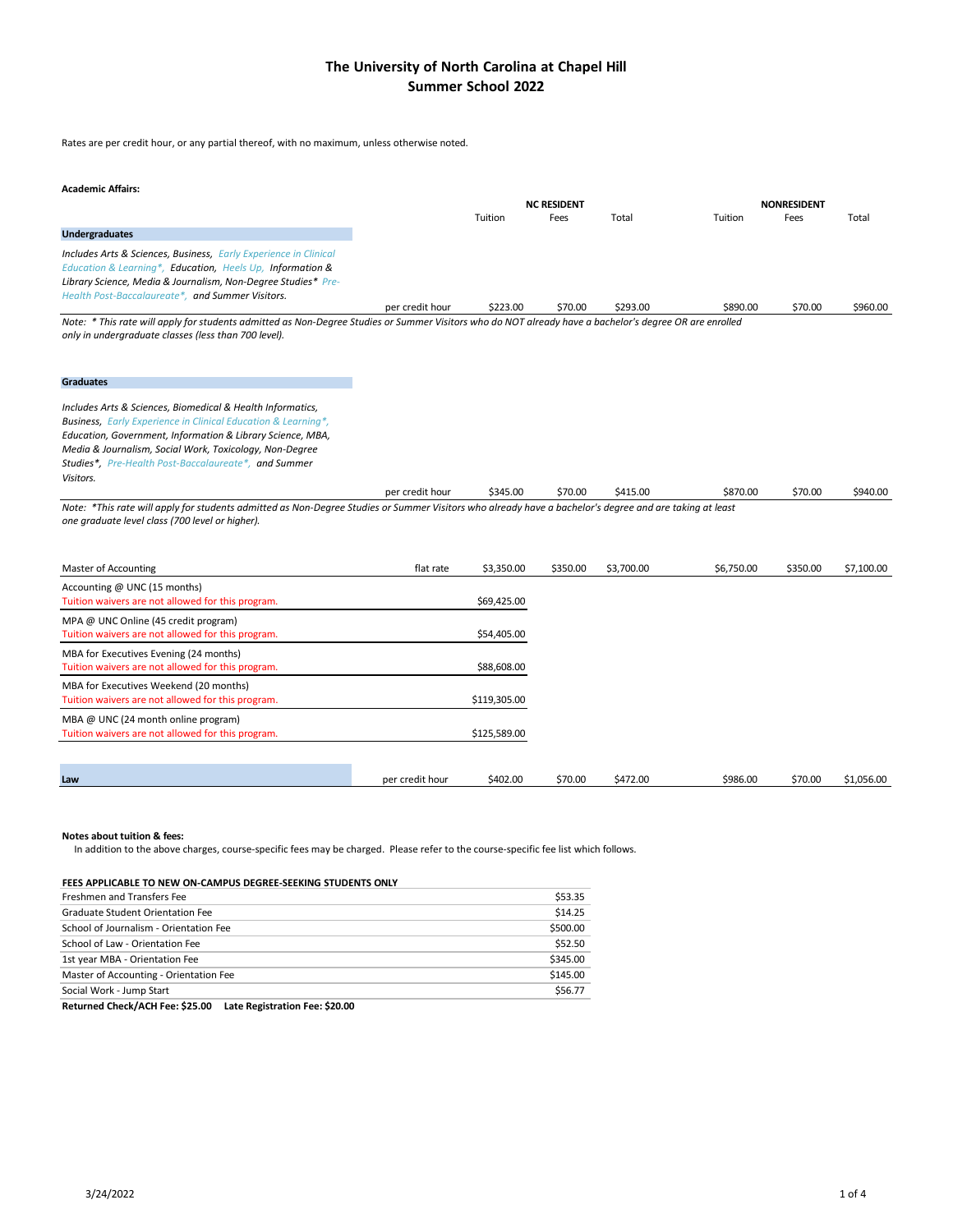## **The University of North Carolina at Chapel Hill Summer School 2022**

Rates are per credit hour, or any partial thereof, with no maximum, unless otherwise noted.

#### **Academic Affairs:**

|                                                                                                                                                                                                                                                               |                 |         | <b>NC RESIDENT</b> |         |         | <b>NONRESIDENT</b> |         |
|---------------------------------------------------------------------------------------------------------------------------------------------------------------------------------------------------------------------------------------------------------------|-----------------|---------|--------------------|---------|---------|--------------------|---------|
|                                                                                                                                                                                                                                                               |                 | Tuition | Fees               | Total   | Tuition | Fees               | Total   |
| <b>Undergraduates</b>                                                                                                                                                                                                                                         |                 |         |                    |         |         |                    |         |
| <b>Includes Arts &amp; Sciences, Business, Early Experience in Clinical</b><br>Education & Learning*, Education, Heels Up, Information &<br>Library Science, Media & Journalism, Non-Degree Studies* Pre-<br>Health Post-Baccalaureate*, and Summer Visitors. |                 |         |                    |         |         |                    |         |
|                                                                                                                                                                                                                                                               | per credit hour | S223.00 | S70.00             | S293.00 | S890.00 | S70.00             | S960.00 |

Note: \* This rate will apply for students admitted as Non-Degree Studies or Summer Visitors who do NOT already have a bachelor's degree OR are enrolled *only in undergraduate classes (less than 700 level).*

#### **Graduates**

*Includes Arts & Sciences, Biomedical & Health Informatics, Business, Early Experience in Clinical Education & Learning\*, Education, Government, Information & Library Science, MBA, Media & Journalism, Social Work, Toxicology, Non-Degree Studies\*, Pre-Health Post-Baccalaureate\*, and Summer Visitors.*

per credit hour \$345.00 \$70.00 \$415.00 \$870.00 \$70.00 \$940.00 Note: \*This rate will apply for students admitted as Non-Degree Studies or Summer Visitors who already have a bachelor's degree and are taking at least *one graduate level class (700 level or higher).*

| Master of Accounting                                                                        | flat rate       | \$3,350.00   | \$350.00 | \$3,700.00 | \$6,750.00 | \$350.00 | \$7,100.00 |
|---------------------------------------------------------------------------------------------|-----------------|--------------|----------|------------|------------|----------|------------|
| Accounting @ UNC (15 months)<br>Tuition waivers are not allowed for this program.           |                 | \$69,425.00  |          |            |            |          |            |
| MPA @ UNC Online (45 credit program)<br>Tuition waivers are not allowed for this program.   |                 | \$54,405.00  |          |            |            |          |            |
| MBA for Executives Evening (24 months)<br>Tuition waivers are not allowed for this program. |                 | \$88,608.00  |          |            |            |          |            |
| MBA for Executives Weekend (20 months)<br>Tuition waivers are not allowed for this program. |                 | \$119,305.00 |          |            |            |          |            |
| MBA @ UNC (24 month online program)<br>Tuition waivers are not allowed for this program.    |                 | \$125,589.00 |          |            |            |          |            |
|                                                                                             |                 |              |          |            |            |          |            |
| Law                                                                                         | per credit hour | \$402.00     | \$70.00  | \$472.00   | \$986.00   | \$70.00  | \$1,056.00 |

#### **Notes about tuition & fees:**

In addition to the above charges, course-specific fees may be charged. Please refer to the course-specific fee list which follows.

#### **FEES APPLICABLE TO NEW ON-CAMPUS DEGREE-SEEKING STUDENTS ONLY**

| <b>Freshmen and Transfers Fee</b>      | \$53.35  |
|----------------------------------------|----------|
| Graduate Student Orientation Fee       | \$14.25  |
| School of Journalism - Orientation Fee | \$500.00 |
| School of Law - Orientation Fee        | \$52.50  |
| 1st year MBA - Orientation Fee         | \$345.00 |
| Master of Accounting - Orientation Fee | \$145.00 |
| Social Work - Jump Start               | \$56.77  |

**Returned Check/ACH Fee: \$25.00 Late Registration Fee: \$20.00**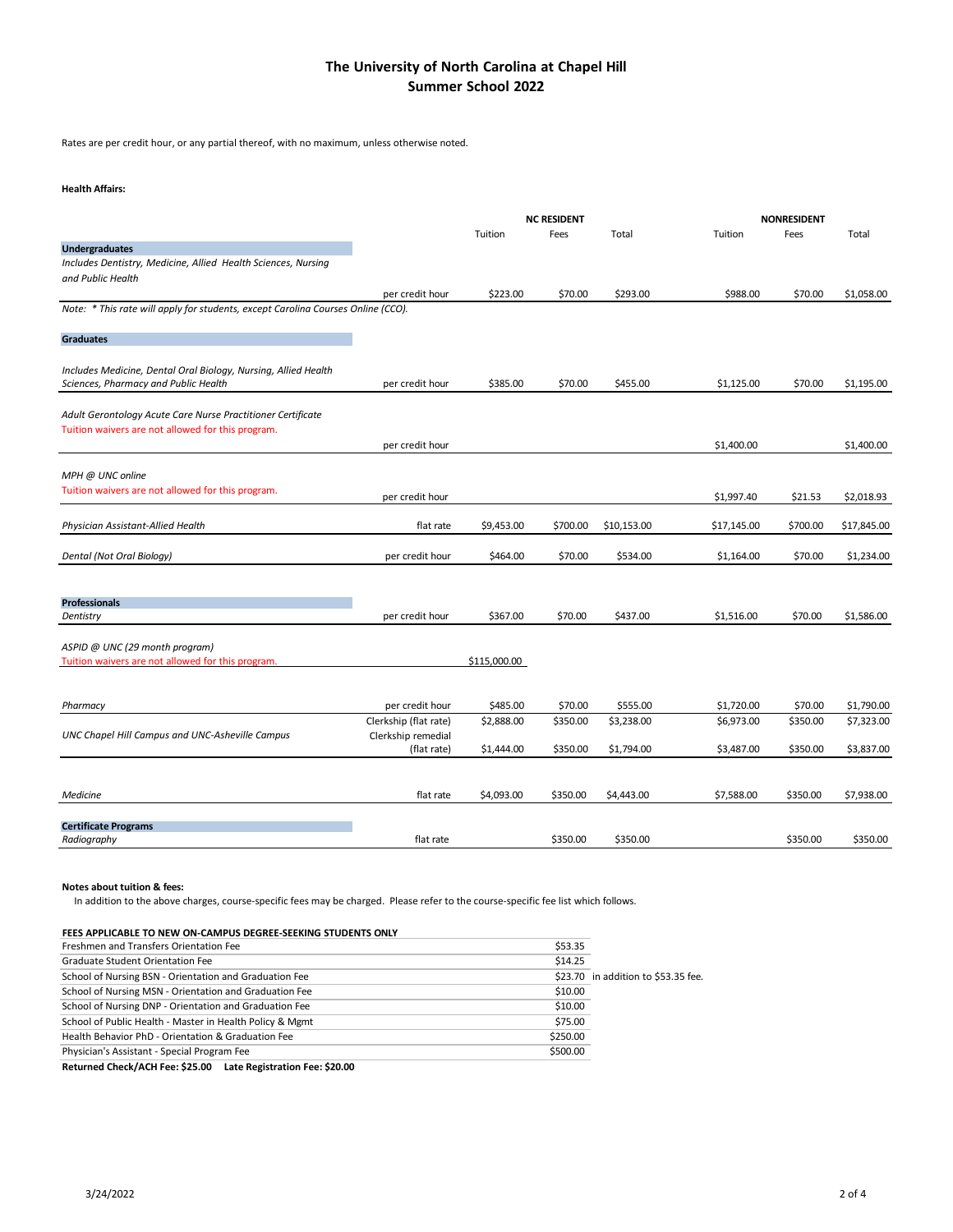## **The University of North Carolina at Chapel Hill Summer School 2022**

Rates are per credit hour, or any partial thereof, with no maximum, unless otherwise noted.

### **Health Affairs:**

|                                                                                  |                       |              | <b>NC RESIDENT</b> |             |             | <b>NONRESIDENT</b> |             |
|----------------------------------------------------------------------------------|-----------------------|--------------|--------------------|-------------|-------------|--------------------|-------------|
|                                                                                  |                       | Tuition      | Fees               | Total       | Tuition     | Fees               | Total       |
| <b>Undergraduates</b>                                                            |                       |              |                    |             |             |                    |             |
| Includes Dentistry, Medicine, Allied Health Sciences, Nursing                    |                       |              |                    |             |             |                    |             |
| and Public Health                                                                |                       |              |                    |             |             |                    |             |
|                                                                                  | per credit hour       | \$223.00     | \$70.00            | \$293.00    | \$988.00    | \$70.00            | \$1,058.00  |
| Note: * This rate will apply for students, except Carolina Courses Online (CCO). |                       |              |                    |             |             |                    |             |
| <b>Graduates</b>                                                                 |                       |              |                    |             |             |                    |             |
|                                                                                  |                       |              |                    |             |             |                    |             |
| Includes Medicine, Dental Oral Biology, Nursing, Allied Health                   |                       |              |                    |             |             |                    |             |
| Sciences, Pharmacy and Public Health                                             | per credit hour       | \$385.00     | \$70.00            | \$455.00    | \$1,125.00  | \$70.00            | \$1,195.00  |
|                                                                                  |                       |              |                    |             |             |                    |             |
| Adult Gerontology Acute Care Nurse Practitioner Certificate                      |                       |              |                    |             |             |                    |             |
| Tuition waivers are not allowed for this program.                                |                       |              |                    |             |             |                    |             |
|                                                                                  | per credit hour       |              |                    |             | \$1,400.00  |                    | \$1,400.00  |
|                                                                                  |                       |              |                    |             |             |                    |             |
| MPH @ UNC online<br>Tuition waivers are not allowed for this program.            |                       |              |                    |             |             |                    |             |
|                                                                                  | per credit hour       |              |                    |             | \$1,997.40  | \$21.53            | \$2,018.93  |
|                                                                                  |                       |              |                    |             |             |                    |             |
| Physician Assistant-Allied Health                                                | flat rate             | \$9,453.00   | \$700.00           | \$10,153.00 | \$17,145.00 | \$700.00           | \$17,845.00 |
| Dental (Not Oral Biology)                                                        | per credit hour       | \$464.00     | \$70.00            | \$534.00    | \$1,164.00  | \$70.00            | \$1,234.00  |
|                                                                                  |                       |              |                    |             |             |                    |             |
|                                                                                  |                       |              |                    |             |             |                    |             |
| <b>Professionals</b>                                                             |                       |              |                    |             |             |                    |             |
| Dentistry                                                                        | per credit hour       | \$367.00     | \$70.00            | \$437.00    | \$1,516.00  | \$70.00            | \$1,586.00  |
|                                                                                  |                       |              |                    |             |             |                    |             |
| ASPID @ UNC (29 month program)                                                   |                       |              |                    |             |             |                    |             |
| Tuition waivers are not allowed for this program.                                |                       | \$115,000.00 |                    |             |             |                    |             |
|                                                                                  |                       |              |                    |             |             |                    |             |
| Pharmacy                                                                         | per credit hour       | \$485.00     | \$70.00            | \$555.00    | \$1,720.00  | \$70.00            | \$1,790.00  |
|                                                                                  | Clerkship (flat rate) | \$2,888.00   | \$350.00           | \$3,238.00  | \$6,973.00  | \$350.00           | \$7,323.00  |
| UNC Chapel Hill Campus and UNC-Asheville Campus                                  | Clerkship remedial    |              |                    |             |             |                    |             |
|                                                                                  | (flat rate)           | \$1,444.00   | \$350.00           | \$1,794.00  | \$3,487.00  | \$350.00           | \$3,837.00  |
|                                                                                  |                       |              |                    |             |             |                    |             |
|                                                                                  |                       |              |                    |             |             |                    |             |
| Medicine                                                                         | flat rate             | \$4,093.00   | \$350.00           | \$4,443.00  | \$7,588.00  | \$350.00           | \$7,938.00  |
|                                                                                  |                       |              |                    |             |             |                    |             |
| <b>Certificate Programs</b>                                                      |                       |              |                    |             |             |                    |             |
| Radiography                                                                      | flat rate             |              | \$350.00           | \$350.00    |             | \$350.00           | \$350.00    |

**Notes about tuition & fees:**

In addition to the above charges, course-specific fees may be charged. Please refer to the course-specific fee list which follows.

| FEES APPLICABLE TO NEW ON-CAMPUS DEGREE-SEEKING STUDENTS ONLY  |          |                                     |
|----------------------------------------------------------------|----------|-------------------------------------|
| Freshmen and Transfers Orientation Fee                         | \$53.35  |                                     |
| Graduate Student Orientation Fee                               | \$14.25  |                                     |
| School of Nursing BSN - Orientation and Graduation Fee         |          | \$23.70 in addition to \$53.35 fee. |
| School of Nursing MSN - Orientation and Graduation Fee         | \$10.00  |                                     |
| School of Nursing DNP - Orientation and Graduation Fee         | \$10.00  |                                     |
| School of Public Health - Master in Health Policy & Mgmt       | \$75.00  |                                     |
| Health Behavior PhD - Orientation & Graduation Fee             | \$250.00 |                                     |
| Physician's Assistant - Special Program Fee                    | \$500.00 |                                     |
| Returned Check/ACH Fee: \$25.00 Late Registration Fee: \$20.00 |          |                                     |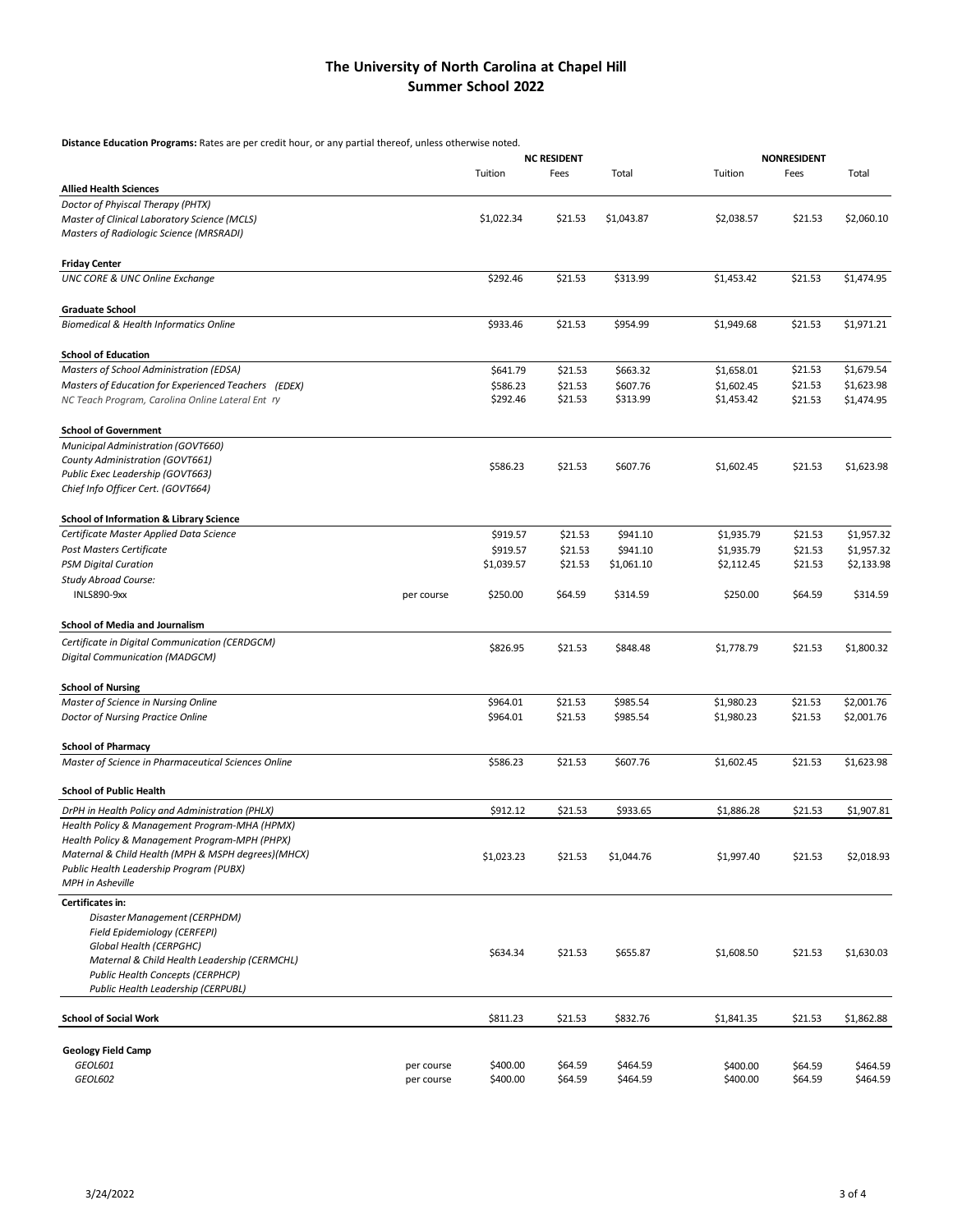## **The University of North Carolina at Chapel Hill Summer School 2022**

**Distance Education Programs:** Rates are per credit hour, or any partial thereof, unless otherwise noted.

|                                                                                         |            | <b>NC RESIDENT</b> |         | <b>NONRESIDENT</b> |            |         |            |
|-----------------------------------------------------------------------------------------|------------|--------------------|---------|--------------------|------------|---------|------------|
|                                                                                         |            | Tuition            | Fees    | Total              | Tuition    | Fees    | Total      |
| <b>Allied Health Sciences</b>                                                           |            |                    |         |                    |            |         |            |
| Doctor of Phyiscal Therapy (PHTX)                                                       |            |                    |         |                    |            |         |            |
| Master of Clinical Laboratory Science (MCLS)<br>Masters of Radiologic Science (MRSRADI) |            | \$1,022.34         | \$21.53 | \$1,043.87         | \$2,038.57 | \$21.53 | \$2,060.10 |
| <b>Friday Center</b>                                                                    |            |                    |         |                    |            |         |            |
| <b>UNC CORE &amp; UNC Online Exchange</b>                                               |            | \$292.46           | \$21.53 | \$313.99           | \$1,453.42 | \$21.53 | \$1,474.95 |
|                                                                                         |            |                    |         |                    |            |         |            |
| <b>Graduate School</b><br><b>Biomedical &amp; Health Informatics Online</b>             |            | \$933.46           | \$21.53 | \$954.99           | \$1,949.68 | \$21.53 | \$1,971.21 |
|                                                                                         |            |                    |         |                    |            |         |            |
| <b>School of Education</b>                                                              |            |                    |         |                    |            |         |            |
| Masters of School Administration (EDSA)                                                 |            | \$641.79           | \$21.53 | \$663.32           | \$1,658.01 | \$21.53 | \$1,679.54 |
| Masters of Education for Experienced Teachers (EDEX)                                    |            | \$586.23           | \$21.53 | \$607.76           | \$1,602.45 | \$21.53 | \$1,623.98 |
| NC Teach Program, Carolina Online Lateral Ent ry                                        |            | \$292.46           | \$21.53 | \$313.99           | \$1,453.42 | \$21.53 | \$1,474.95 |
| <b>School of Government</b>                                                             |            |                    |         |                    |            |         |            |
| Municipal Administration (GOVT660)                                                      |            |                    |         |                    |            |         |            |
| County Administration (GOVT661)                                                         |            | \$586.23           | \$21.53 | \$607.76           | \$1,602.45 | \$21.53 | \$1,623.98 |
| Public Exec Leadership (GOVT663)                                                        |            |                    |         |                    |            |         |            |
| Chief Info Officer Cert. (GOVT664)                                                      |            |                    |         |                    |            |         |            |
| <b>School of Information &amp; Library Science</b>                                      |            |                    |         |                    |            |         |            |
| Certificate Master Applied Data Science                                                 |            | \$919.57           | \$21.53 | \$941.10           | \$1,935.79 | \$21.53 | \$1,957.32 |
| Post Masters Certificate                                                                |            | \$919.57           | \$21.53 | \$941.10           | \$1,935.79 | \$21.53 | \$1,957.32 |
| <b>PSM Digital Curation</b>                                                             |            | \$1,039.57         | \$21.53 | \$1,061.10         | \$2,112.45 | \$21.53 | \$2,133.98 |
| <b>Study Abroad Course:</b>                                                             |            |                    |         |                    |            |         |            |
| <b>INLS890-9xx</b>                                                                      | per course | \$250.00           | \$64.59 | \$314.59           | \$250.00   | \$64.59 | \$314.59   |
| <b>School of Media and Journalism</b>                                                   |            |                    |         |                    |            |         |            |
| Certificate in Digital Communication (CERDGCM)                                          |            | \$826.95           | \$21.53 | \$848.48           | \$1,778.79 | \$21.53 | \$1,800.32 |
| Digital Communication (MADGCM)                                                          |            |                    |         |                    |            |         |            |
| <b>School of Nursing</b>                                                                |            |                    |         |                    |            |         |            |
| Master of Science in Nursing Online                                                     |            | \$964.01           | \$21.53 | \$985.54           | \$1,980.23 | \$21.53 | \$2,001.76 |
| Doctor of Nursing Practice Online                                                       |            | \$964.01           | \$21.53 | \$985.54           | \$1,980.23 | \$21.53 | \$2,001.76 |
| <b>School of Pharmacy</b>                                                               |            |                    |         |                    |            |         |            |
| Master of Science in Pharmaceutical Sciences Online                                     |            | \$586.23           | \$21.53 | \$607.76           | \$1,602.45 | \$21.53 | \$1,623.98 |
| <b>School of Public Health</b>                                                          |            |                    |         |                    |            |         |            |
| DrPH in Health Policy and Administration (PHLX)                                         |            | \$912.12           | \$21.53 | \$933.65           | \$1,886.28 | \$21.53 | \$1,907.81 |
| Health Policy & Management Program-MHA (HPMX)                                           |            |                    |         |                    |            |         |            |
| Health Policy & Management Program-MPH (PHPX)                                           |            |                    |         |                    |            |         |            |
| Maternal & Child Health (MPH & MSPH degrees)(MHCX)                                      |            | \$1,023.23         | \$21.53 | \$1,044.76         | \$1,997.40 | \$21.53 | \$2,018.93 |
| Public Health Leadership Program (PUBX)<br><b>MPH</b> in Asheville                      |            |                    |         |                    |            |         |            |
| Certificates in:                                                                        |            |                    |         |                    |            |         |            |
| Disaster Management (CERPHDM)                                                           |            |                    |         |                    |            |         |            |
| Field Epidemiology (CERFEPI)                                                            |            |                    |         |                    |            |         |            |
| Global Health (CERPGHC)                                                                 |            | \$634.34           | \$21.53 | \$655.87           | \$1,608.50 | \$21.53 | \$1,630.03 |
| Maternal & Child Health Leadership (CERMCHL)                                            |            |                    |         |                    |            |         |            |
| <b>Public Health Concepts (CERPHCP)</b>                                                 |            |                    |         |                    |            |         |            |
| Public Health Leadership (CERPUBL)                                                      |            |                    |         |                    |            |         |            |
| <b>School of Social Work</b>                                                            |            | \$811.23           | \$21.53 | \$832.76           | \$1,841.35 | \$21.53 | \$1,862.88 |
| <b>Geology Field Camp</b>                                                               |            |                    |         |                    |            |         |            |
| GEOL601                                                                                 | per course | \$400.00           | \$64.59 | \$464.59           | \$400.00   | \$64.59 | \$464.59   |
| GEOL602                                                                                 | per course | \$400.00           | \$64.59 | \$464.59           | \$400.00   | \$64.59 | \$464.59   |